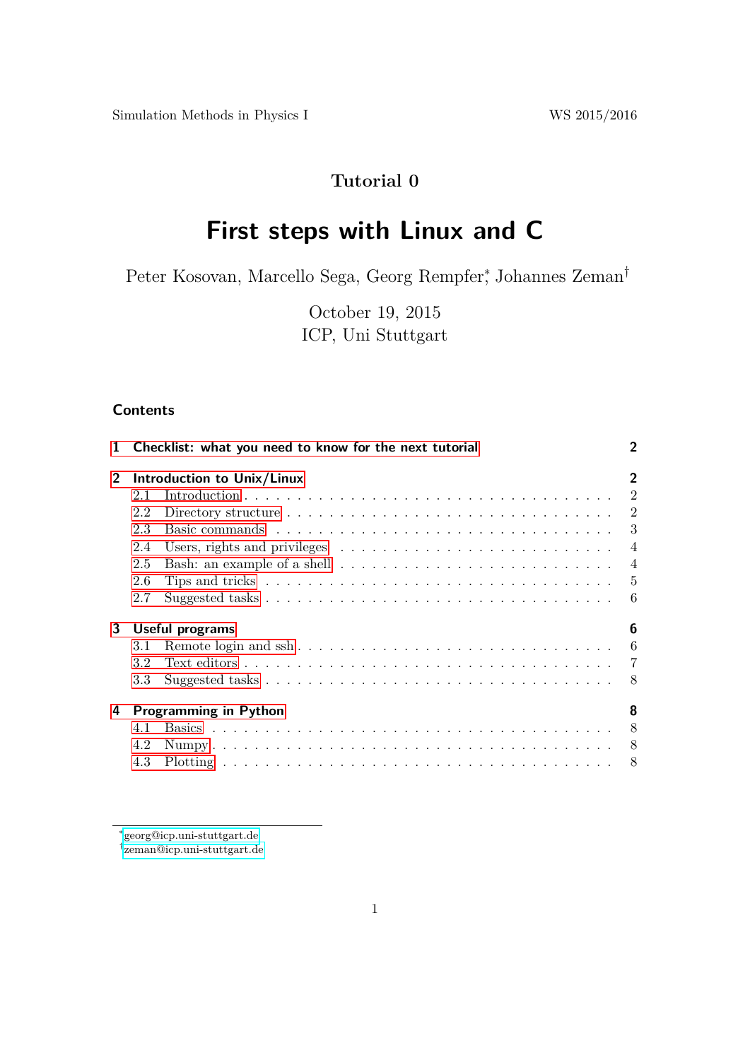$\label{eq:1.1}$  Simulation Methods in Physics I WS 2015/2016

# **Tutorial 0**

# **First steps with Linux and C**

Peter Kosovan, Marcello Sega, Georg Rempfer<sup>\*</sup>, Johannes Zeman<sup>†</sup>

October 19, 2015 ICP, Uni Stuttgart

# **Contents**

|                |     | 1 Checklist: what you need to know for the next tutorial                                                       | $\mathcal{P}$  |
|----------------|-----|----------------------------------------------------------------------------------------------------------------|----------------|
| 2 <sup>1</sup> |     | Introduction to Unix/Linux                                                                                     | $\overline{2}$ |
|                | 2.1 |                                                                                                                |                |
|                | 2.2 | Directory structure $\ldots \ldots \ldots \ldots \ldots \ldots \ldots \ldots \ldots \ldots \ldots 2$           |                |
|                | 2.3 |                                                                                                                | 3              |
|                | 2.4 | Users, rights and privileges $\dots \dots \dots \dots \dots \dots \dots \dots \dots \dots$                     |                |
|                | 2.5 |                                                                                                                | $\overline{4}$ |
|                | 2.6 | Tips and tricks $\ldots \ldots \ldots \ldots \ldots \ldots \ldots \ldots \ldots \ldots \ldots \ldots \ldots 5$ |                |
|                | 2.7 |                                                                                                                |                |
| 3              |     | Useful programs                                                                                                | 6              |
|                | 3.1 |                                                                                                                |                |
|                | 3.2 |                                                                                                                |                |
|                | 3.3 |                                                                                                                | - 8            |
| 4              |     | <b>Programming in Python</b>                                                                                   | 8              |
|                | 4.1 |                                                                                                                |                |
|                | 4.2 |                                                                                                                |                |
|                | 4.3 |                                                                                                                |                |

† [zeman@icp.uni-stuttgart.de](mailto:zeman@icp.uni-stuttgart.de)

<sup>∗</sup> [georg@icp.uni-stuttgart.de](mailto:georg@icp.uni-stuttgart.de)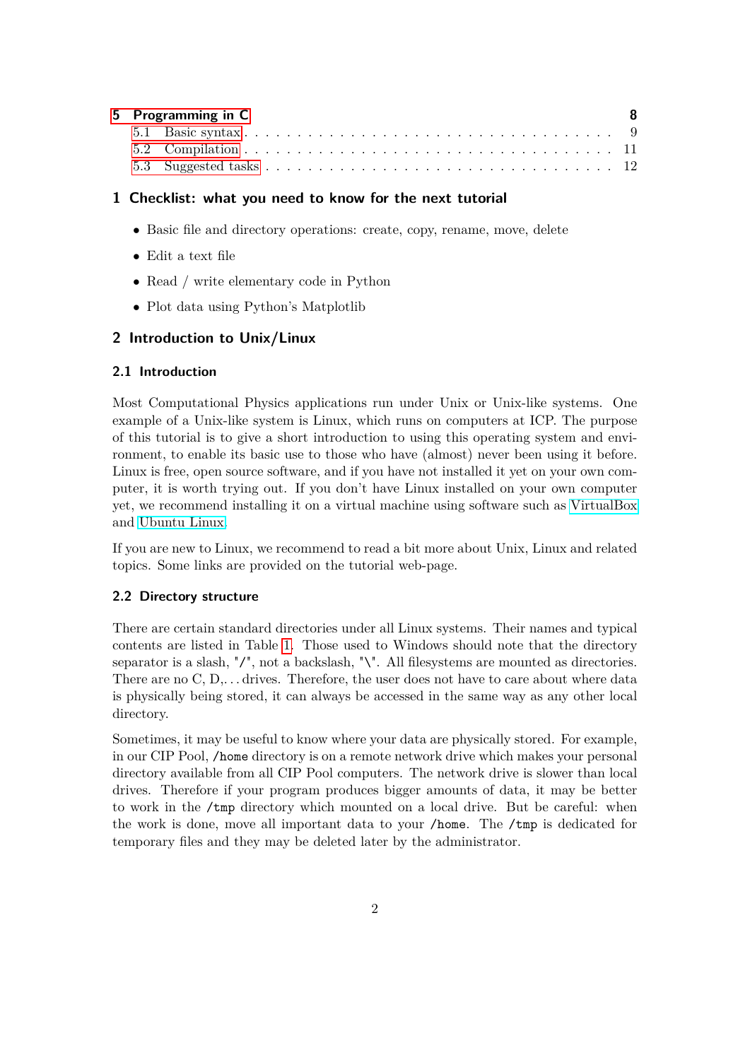| 5 Programming in C |  | - 8 |
|--------------------|--|-----|
|                    |  |     |
|                    |  |     |
|                    |  |     |

# <span id="page-1-0"></span>**1 Checklist: what you need to know for the next tutorial**

- Basic file and directory operations: create, copy, rename, move, delete
- Edit a text file
- Read / write elementary code in Python
- Plot data using Python's Matplotlib

# <span id="page-1-1"></span>**2 Introduction to Unix/Linux**

# <span id="page-1-2"></span>**2.1 Introduction**

Most Computational Physics applications run under Unix or Unix-like systems. One example of a Unix-like system is Linux, which runs on computers at ICP. The purpose of this tutorial is to give a short introduction to using this operating system and environment, to enable its basic use to those who have (almost) never been using it before. Linux is free, open source software, and if you have not installed it yet on your own computer, it is worth trying out. If you don't have Linux installed on your own computer yet, we recommend installing it on a virtual machine using software such as [VirtualBox](www.virtualbox.org) and [Ubuntu Linux.](www.ubuntu.com)

If you are new to Linux, we recommend to read a bit more about Unix, Linux and related topics. Some links are provided on the tutorial web-page.

# <span id="page-1-3"></span>**2.2 Directory structure**

There are certain standard directories under all Linux systems. Their names and typical contents are listed in Table [1.](#page-2-1) Those used to Windows should note that the directory separator is a slash, "/", not a backslash, "\". All filesystems are mounted as directories. There are no  $C, D, \ldots$  drives. Therefore, the user does not have to care about where data is physically being stored, it can always be accessed in the same way as any other local directory.

Sometimes, it may be useful to know where your data are physically stored. For example, in our CIP Pool, /home directory is on a remote network drive which makes your personal directory available from all CIP Pool computers. The network drive is slower than local drives. Therefore if your program produces bigger amounts of data, it may be better to work in the /tmp directory which mounted on a local drive. But be careful: when the work is done, move all important data to your /home. The /tmp is dedicated for temporary files and they may be deleted later by the administrator.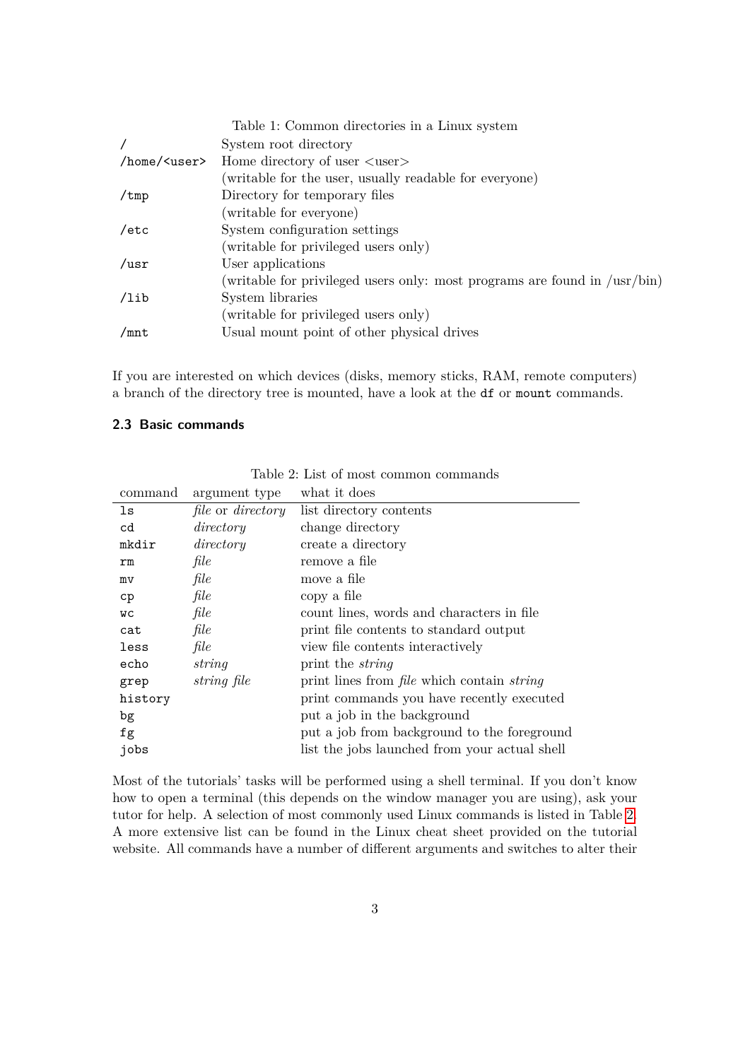<span id="page-2-1"></span>

|                      | Table 1: Common directories in a Linux system                                       |
|----------------------|-------------------------------------------------------------------------------------|
|                      | System root directory                                                               |
| /home/ <user></user> | Home directory of user $\langle$ user $\rangle$                                     |
|                      | (writable for the user, usually readable for everyone)                              |
| $/\text{tmp}$        | Directory for temporary files                                                       |
|                      | (writable for everyone)                                                             |
| /etc                 | System configuration settings                                                       |
|                      | (writable for privileged users only)                                                |
| $\sqrt{usr}$         | User applications                                                                   |
|                      | (writable for privileged users only: most programs are found in $/\text{usr/bin}$ ) |
| /lib                 | System libraries                                                                    |
|                      | (writable for privileged users only)                                                |
| /mnt                 | Usual mount point of other physical drives                                          |

If you are interested on which devices (disks, memory sticks, RAM, remote computers) a branch of the directory tree is mounted, have a look at the df or mount commands.

# <span id="page-2-0"></span>**2.3 Basic commands**

<span id="page-2-2"></span>

| Table 2: List of most common commands |  |
|---------------------------------------|--|
|---------------------------------------|--|

| command   | argument type                   | what it does                                             |
|-----------|---------------------------------|----------------------------------------------------------|
| ls        | <i>file</i> or <i>directory</i> | list directory contents                                  |
| cd        | directory                       | change directory                                         |
| mkdir     | directory                       | create a directory                                       |
| rm        | file                            | remove a file                                            |
| mv        | file                            | move a file                                              |
| cp        | file                            | copy a file                                              |
| <b>WC</b> | file                            | count lines, words and characters in file                |
| cat       | file                            | print file contents to standard output                   |
| less      | file                            | view file contents interactively                         |
| echo      | string                          | print the <i>string</i>                                  |
| grep      | string file                     | print lines from <i>file</i> which contain <i>string</i> |
| history   |                                 | print commands you have recently executed                |
| bg        |                                 | put a job in the background                              |
| fg        |                                 | put a job from background to the foreground              |
| jobs      |                                 | list the jobs launched from your actual shell            |

Most of the tutorials' tasks will be performed using a shell terminal. If you don't know how to open a terminal (this depends on the window manager you are using), ask your tutor for help. A selection of most commonly used Linux commands is listed in Table [2.](#page-2-2) A more extensive list can be found in the Linux cheat sheet provided on the tutorial website. All commands have a number of different arguments and switches to alter their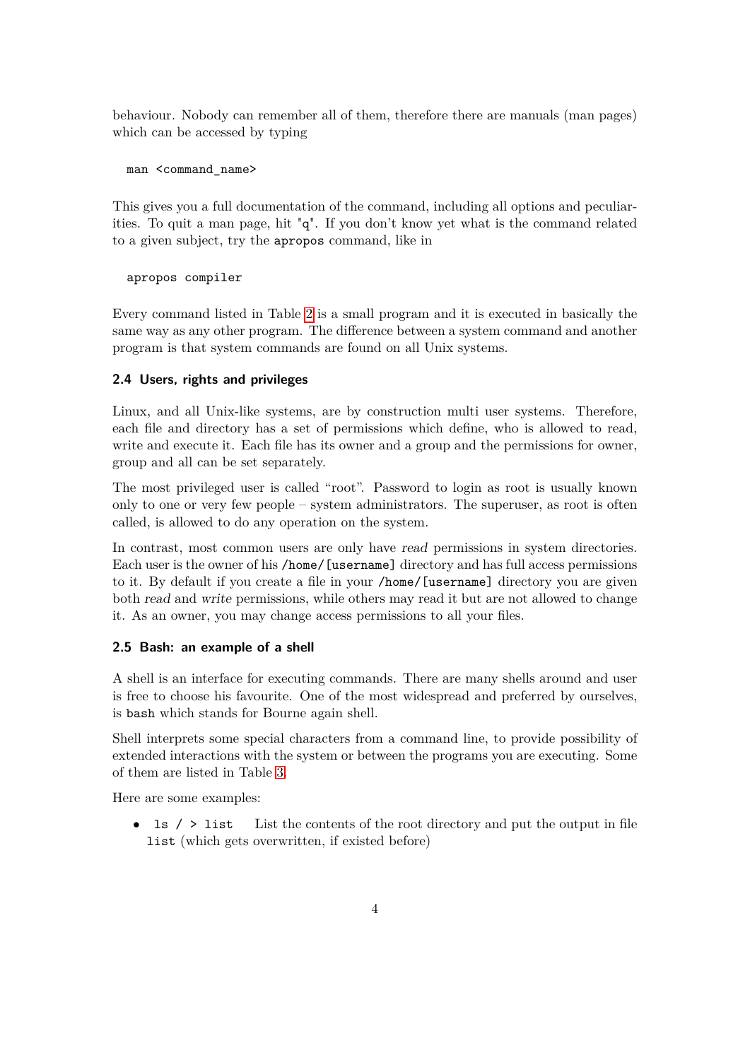behaviour. Nobody can remember all of them, therefore there are manuals (man pages) which can be accessed by typing

```
man <command name>
```
This gives you a full documentation of the command, including all options and peculiarities. To quit a man page, hit "q". If you don't know yet what is the command related to a given subject, try the apropos command, like in

apropos compiler

Every command listed in Table [2](#page-2-2) is a small program and it is executed in basically the same way as any other program. The difference between a system command and another program is that system commands are found on all Unix systems.

#### <span id="page-3-0"></span>**2.4 Users, rights and privileges**

Linux, and all Unix-like systems, are by construction multi user systems. Therefore, each file and directory has a set of permissions which define, who is allowed to read, write and execute it. Each file has its owner and a group and the permissions for owner, group and all can be set separately.

The most privileged user is called "root". Password to login as root is usually known only to one or very few people – system administrators. The superuser, as root is often called, is allowed to do any operation on the system.

In contrast, most common users are only have read permissions in system directories. Each user is the owner of his /home/[username] directory and has full access permissions to it. By default if you create a file in your /home/[username] directory you are given both read and write permissions, while others may read it but are not allowed to change it. As an owner, you may change access permissions to all your files.

#### <span id="page-3-1"></span>**2.5 Bash: an example of a shell**

A shell is an interface for executing commands. There are many shells around and user is free to choose his favourite. One of the most widespread and preferred by ourselves, is bash which stands for Bourne again shell.

Shell interprets some special characters from a command line, to provide possibility of extended interactions with the system or between the programs you are executing. Some of them are listed in Table [3.](#page-4-1)

Here are some examples:

• 1s / > list List the contents of the root directory and put the output in file list (which gets overwritten, if existed before)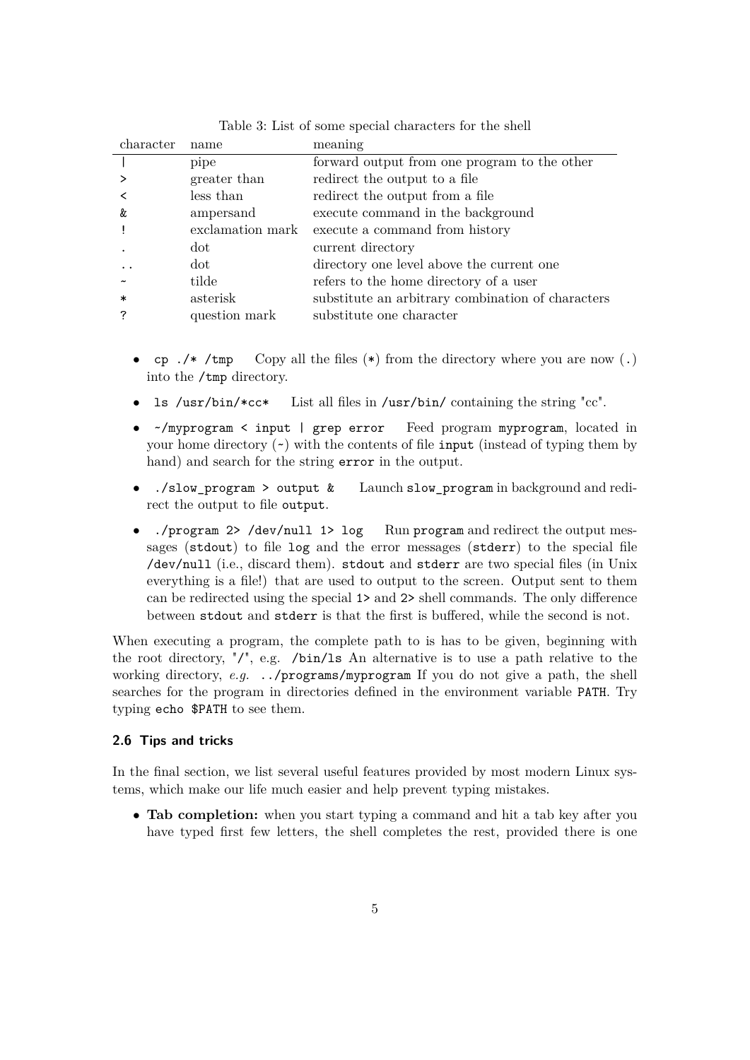| character | name             | meaning                                           |
|-----------|------------------|---------------------------------------------------|
|           | pipe             | forward output from one program to the other      |
|           | greater than     | redirect the output to a file                     |
|           | less than        | redirect the output from a file                   |
| &         | ampersand        | execute command in the background                 |
|           | exclamation mark | execute a command from history                    |
|           | dot              | current directory                                 |
|           | dot              | directory one level above the current one         |
|           | tilde            | refers to the home directory of a user            |
| $\ast$    | asterisk         | substitute an arbitrary combination of characters |
|           | question mark    | substitute one character                          |

<span id="page-4-1"></span>Table 3: List of some special characters for the shell

- cp  $\cdot$  /\* /tmp Copy all the files (\*) from the directory where you are now (.) into the /tmp directory.
- ls /usr/bin/\*cc\* List all files in /usr/bin/ containing the string "cc".
- ~/myprogram < input | grep error Feed program myprogram, located in your home directory  $(\sim)$  with the contents of file input (instead of typing them by hand) and search for the string error in the output.
- ./slow\_program > output & Launch slow\_program in background and redirect the output to file output.
- ./program 2> /dev/null 1> log Run program and redirect the output messages (stdout) to file log and the error messages (stderr) to the special file /dev/null (i.e., discard them). stdout and stderr are two special files (in Unix everything is a file!) that are used to output to the screen. Output sent to them can be redirected using the special 1> and 2> shell commands. The only difference between stdout and stderr is that the first is buffered, while the second is not.

When executing a program, the complete path to is has to be given, beginning with the root directory, "/", e.g. /bin/ls An alternative is to use a path relative to the working directory, *e.g.* ../programs/myprogram If you do not give a path, the shell searches for the program in directories defined in the environment variable PATH. Try typing echo \$PATH to see them.

#### <span id="page-4-0"></span>**2.6 Tips and tricks**

In the final section, we list several useful features provided by most modern Linux systems, which make our life much easier and help prevent typing mistakes.

• **Tab completion:** when you start typing a command and hit a tab key after you have typed first few letters, the shell completes the rest, provided there is one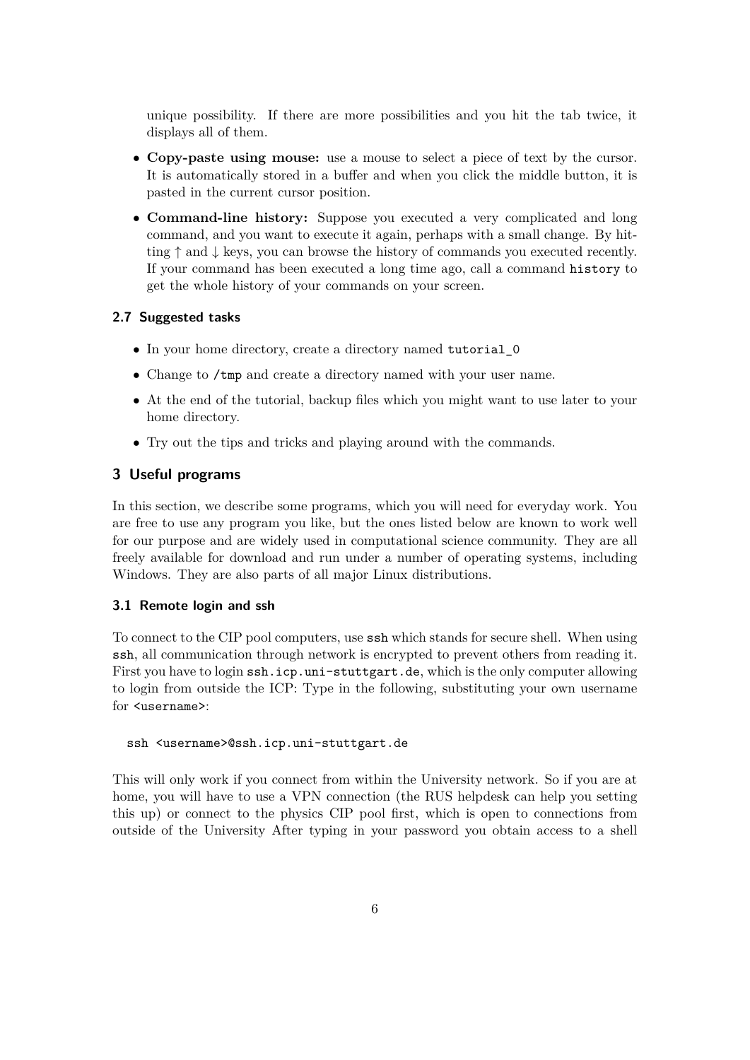unique possibility. If there are more possibilities and you hit the tab twice, it displays all of them.

- **Copy-paste using mouse:** use a mouse to select a piece of text by the cursor. It is automatically stored in a buffer and when you click the middle button, it is pasted in the current cursor position.
- **Command-line history:** Suppose you executed a very complicated and long command, and you want to execute it again, perhaps with a small change. By hitting  $\uparrow$  and  $\downarrow$  keys, you can browse the history of commands you executed recently. If your command has been executed a long time ago, call a command history to get the whole history of your commands on your screen.

## <span id="page-5-0"></span>**2.7 Suggested tasks**

- In your home directory, create a directory named tutorial 0
- Change to /tmp and create a directory named with your user name.
- At the end of the tutorial, backup files which you might want to use later to your home directory.
- Try out the tips and tricks and playing around with the commands.

# <span id="page-5-1"></span>**3 Useful programs**

In this section, we describe some programs, which you will need for everyday work. You are free to use any program you like, but the ones listed below are known to work well for our purpose and are widely used in computational science community. They are all freely available for download and run under a number of operating systems, including Windows. They are also parts of all major Linux distributions.

#### <span id="page-5-2"></span>**3.1 Remote login and ssh**

To connect to the CIP pool computers, use ssh which stands for secure shell. When using ssh, all communication through network is encrypted to prevent others from reading it. First you have to login ssh.icp.uni-stuttgart.de, which is the only computer allowing to login from outside the ICP: Type in the following, substituting your own username for <username>:

#### ssh <username>@ssh.icp.uni-stuttgart.de

This will only work if you connect from within the University network. So if you are at home, you will have to use a VPN connection (the RUS helpdesk can help you setting this up) or connect to the physics CIP pool first, which is open to connections from outside of the University After typing in your password you obtain access to a shell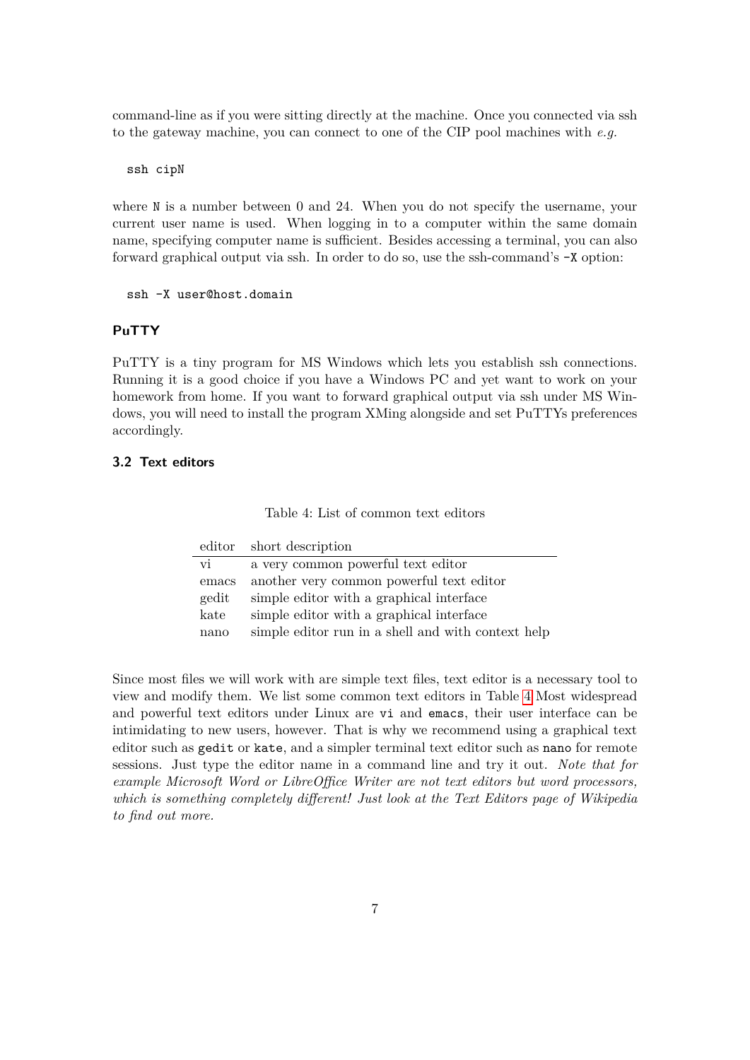command-line as if you were sitting directly at the machine. Once you connected via ssh to the gateway machine, you can connect to one of the CIP pool machines with *e.g.*

ssh cipN

where N is a number between 0 and 24. When you do not specify the username, your current user name is used. When logging in to a computer within the same domain name, specifying computer name is sufficient. Besides accessing a terminal, you can also forward graphical output via ssh. In order to do so, use the ssh-command's -X option:

#### ssh -X user@host.domain

# **PuTTY**

PuTTY is a tiny program for MS Windows which lets you establish ssh connections. Running it is a good choice if you have a Windows PC and yet want to work on your homework from home. If you want to forward graphical output via ssh under MS Windows, you will need to install the program XMing alongside and set PuTTYs preferences accordingly.

#### <span id="page-6-0"></span>**3.2 Text editors**

<span id="page-6-2"></span>

| Table 4: List of common text editors |
|--------------------------------------|
|--------------------------------------|

|       | editor short description                           |
|-------|----------------------------------------------------|
| vi    | a very common powerful text editor                 |
| emacs | another very common powerful text editor           |
| gedit | simple editor with a graphical interface           |
| kate  | simple editor with a graphical interface           |
| nano  | simple editor run in a shell and with context help |

<span id="page-6-1"></span>Since most files we will work with are simple text files, text editor is a necessary tool to view and modify them. We list some common text editors in Table [4](#page-6-2) Most widespread and powerful text editors under Linux are vi and emacs, their user interface can be intimidating to new users, however. That is why we recommend using a graphical text editor such as gedit or kate, and a simpler terminal text editor such as nano for remote sessions. Just type the editor name in a command line and try it out. *Note that for example Microsoft Word or LibreOffice Writer are not text editors but word processors, which is something completely different! Just look at the Text Editors page of Wikipedia to find out more.*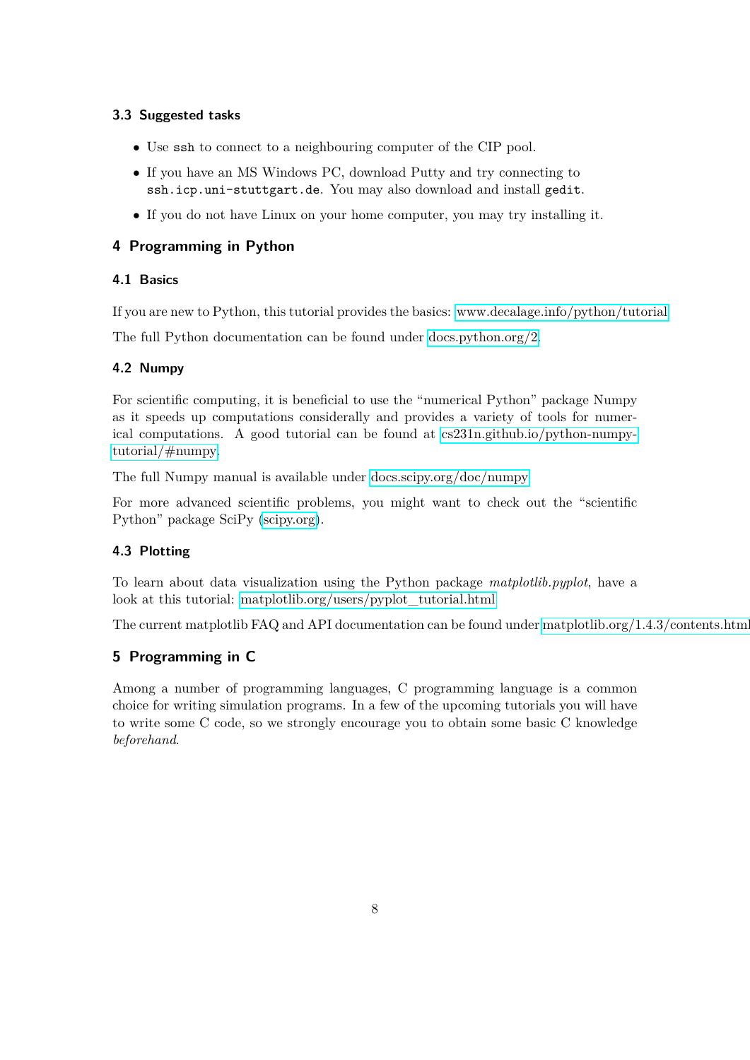# **3.3 Suggested tasks**

- Use ssh to connect to a neighbouring computer of the CIP pool.
- If you have an MS Windows PC, download Putty and try connecting to ssh.icp.uni-stuttgart.de. You may also download and install gedit.
- If you do not have Linux on your home computer, you may try installing it.

# <span id="page-7-0"></span>**4 Programming in Python**

## <span id="page-7-1"></span>**4.1 Basics**

If you are new to Python, this tutorial provides the basics: [www.decalage.info/python/tutorial](http://www.decalage.info/python/tutorial)

<span id="page-7-2"></span>The full Python documentation can be found under [docs.python.org/2.](https://docs.python.org/2)

# **4.2 Numpy**

For scientific computing, it is beneficial to use the "numerical Python" package Numpy as it speeds up computations considerally and provides a variety of tools for numerical computations. A good tutorial can be found at [cs231n.github.io/python-numpy](http://cs231n.github.io/python-numpy-tutorial/#numpy)[tutorial/#numpy.](http://cs231n.github.io/python-numpy-tutorial/#numpy)

The full Numpy manual is available under [docs.scipy.org/doc/numpy](http://docs.scipy.org/doc/numpy)

For more advanced scientific problems, you might want to check out the "scientific Python" package SciPy [\(scipy.org\)](http://scipy.org).

# <span id="page-7-3"></span>**4.3 Plotting**

To learn about data visualization using the Python package *matplotlib.pyplot*, have a look at this tutorial: [matplotlib.org/users/pyplot\\_tutorial.html](http://matplotlib.org/users/pyplot_tutorial.html)

<span id="page-7-4"></span>The current matplotlib FAQ and API documentation can be found under [matplotlib.org/1.4.3/contents.html](http://matplotlib.org/1.4.3/contents.html)

# **5 Programming in C**

<span id="page-7-5"></span>Among a number of programming languages, C programming language is a common choice for writing simulation programs. In a few of the upcoming tutorials you will have to write some C code, so we strongly encourage you to obtain some basic C knowledge *beforehand*.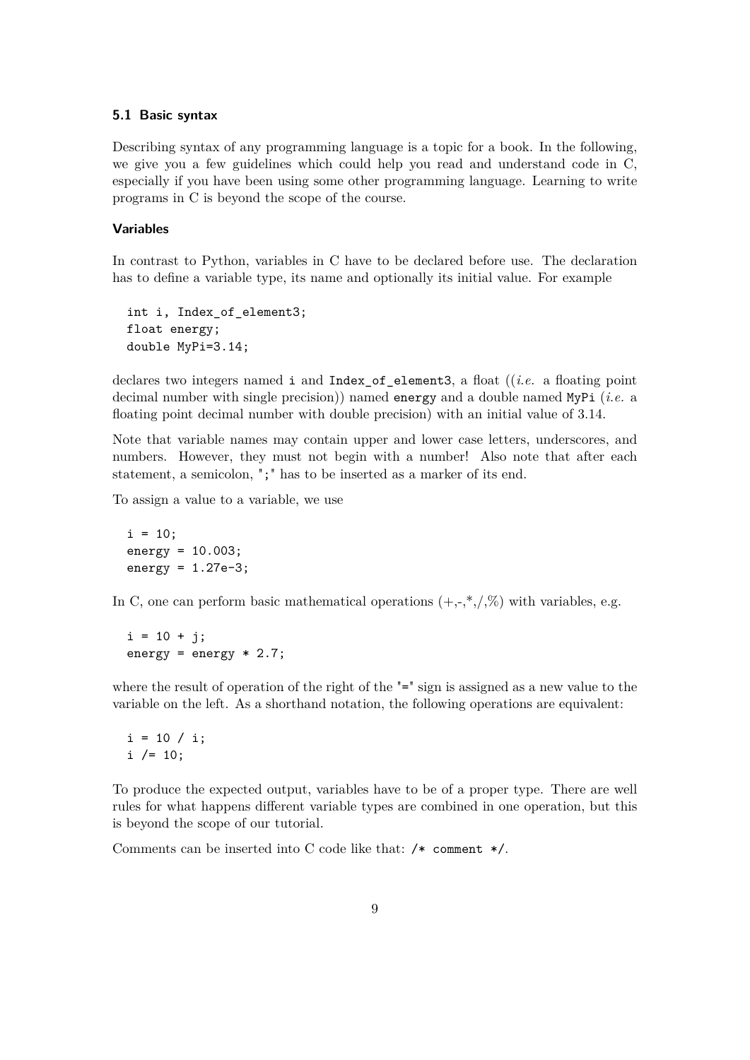#### **5.1 Basic syntax**

Describing syntax of any programming language is a topic for a book. In the following, we give you a few guidelines which could help you read and understand code in C, especially if you have been using some other programming language. Learning to write programs in C is beyond the scope of the course.

#### **Variables**

In contrast to Python, variables in C have to be declared before use. The declaration has to define a variable type, its name and optionally its initial value. For example

```
int i, Index_of_element3;
float energy;
double MyPi=3.14;
```
declares two integers named i and Index\_of\_element3, a float ((*i.e.* a floating point decimal number with single precision)) named energy and a double named MyPi (*i.e.* a floating point decimal number with double precision) with an initial value of 3.14.

Note that variable names may contain upper and lower case letters, underscores, and numbers. However, they must not begin with a number! Also note that after each statement, a semicolon, ";" has to be inserted as a marker of its end.

To assign a value to a variable, we use

 $i = 10$ ; energy = 10.003;  $energy = 1.27e-3;$ 

In C, one can perform basic mathematical operations  $(+,-,*,',\%)$  with variables, e.g.

 $i = 10 + j;$ energy = energy  $* 2.7$ ;

where the result of operation of the right of the "=" sign is assigned as a new value to the variable on the left. As a shorthand notation, the following operations are equivalent:

 $i = 10 / i;$  $i / = 10$ ;

To produce the expected output, variables have to be of a proper type. There are well rules for what happens different variable types are combined in one operation, but this is beyond the scope of our tutorial.

Comments can be inserted into C code like that: /\* comment \*/.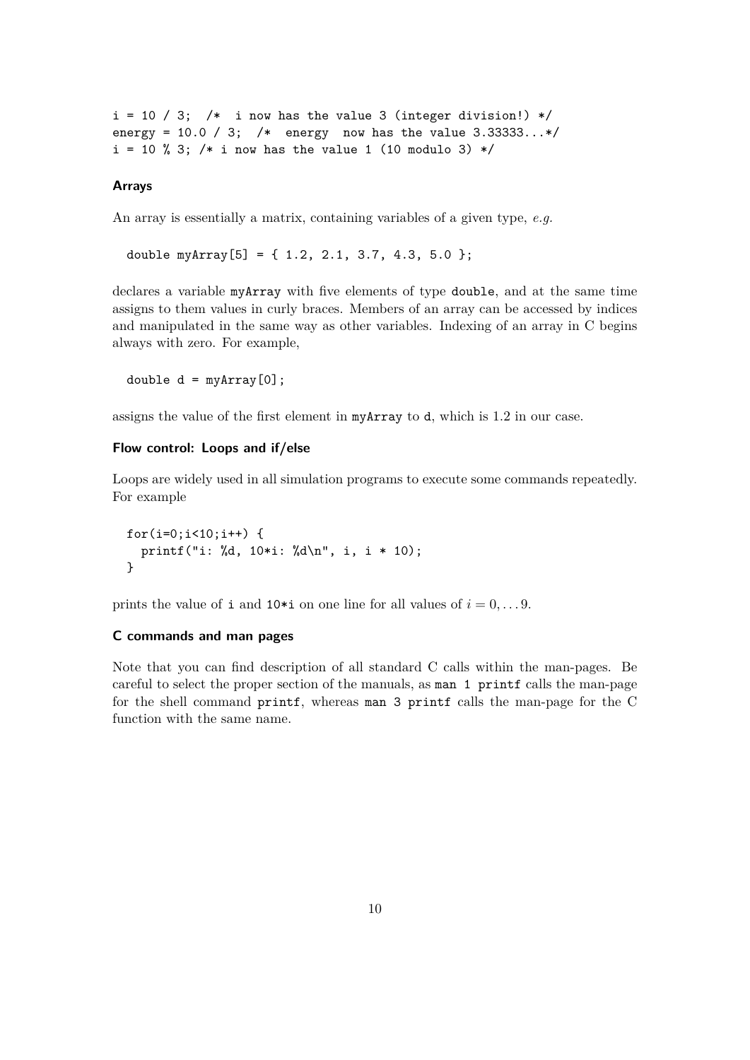$i = 10 / 3$ ; /\* i now has the value 3 (integer division!) \*/ energy =  $10.0 / 3$ ; /\* energy now has the value  $3.33333...*/$  $i = 10$  % 3; /\* i now has the value 1 (10 modulo 3) \*/

#### **Arrays**

An array is essentially a matrix, containing variables of a given type, *e.g.*

double myArray $[5] = \{ 1.2, 2.1, 3.7, 4.3, 5.0 \};$ 

declares a variable myArray with five elements of type double, and at the same time assigns to them values in curly braces. Members of an array can be accessed by indices and manipulated in the same way as other variables. Indexing of an array in C begins always with zero. For example,

double  $d = myArray[0]$ ;

assigns the value of the first element in myArray to d, which is 1*.*2 in our case.

#### **Flow control: Loops and if/else**

Loops are widely used in all simulation programs to execute some commands repeatedly. For example

for(i=0;i<10;i++) { printf("i: %d, 10\*i: %d\n", i, i \* 10); }

prints the value of **i** and **10\*i** on one line for all values of  $i = 0, \ldots, 9$ .

#### **C commands and man pages**

Note that you can find description of all standard C calls within the man-pages. Be careful to select the proper section of the manuals, as man 1 printf calls the man-page for the shell command printf, whereas man 3 printf calls the man-page for the C function with the same name.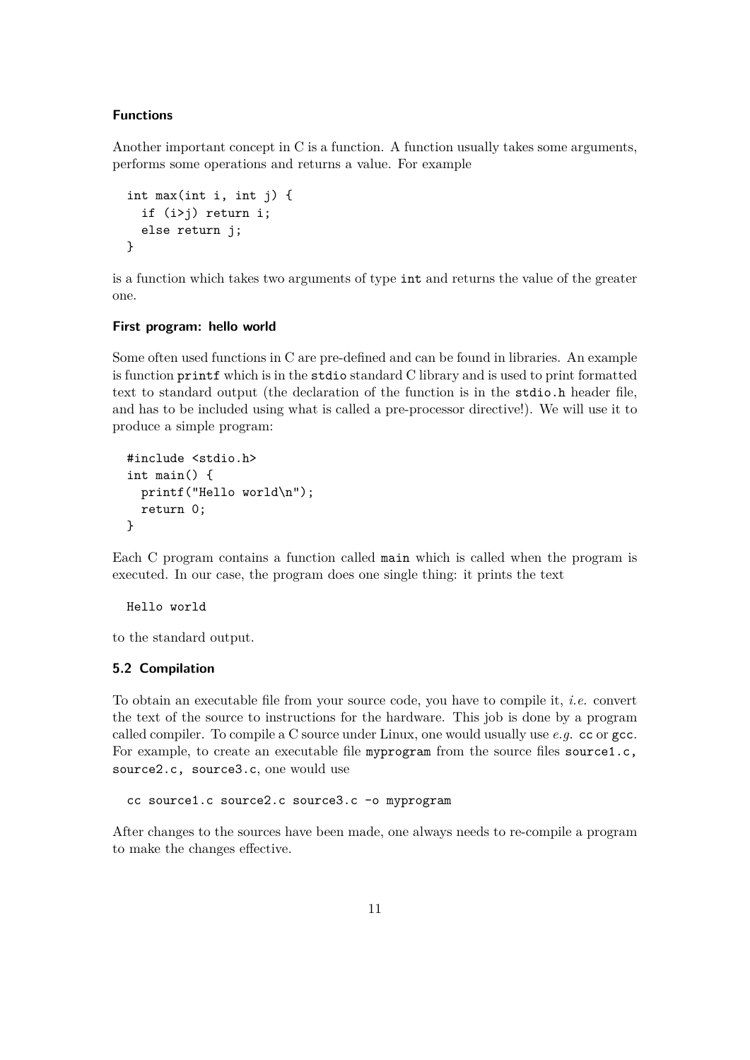#### **Functions**

Another important concept in C is a function. A function usually takes some arguments, performs some operations and returns a value. For example

```
int max(int i, int j) {
  if (i>j) return i;
  else return j;
}
```
is a function which takes two arguments of type int and returns the value of the greater one.

#### **First program: hello world**

Some often used functions in C are pre-defined and can be found in libraries. An example is function printf which is in the stdio standard C library and is used to print formatted text to standard output (the declaration of the function is in the stdio.h header file, and has to be included using what is called a pre-processor directive!). We will use it to produce a simple program:

```
#include <stdio.h>
int main() {
  printf("Hello world\n");
  return 0;
}
```
Each C program contains a function called main which is called when the program is executed. In our case, the program does one single thing: it prints the text

Hello world

<span id="page-10-0"></span>to the standard output.

#### **5.2 Compilation**

To obtain an executable file from your source code, you have to compile it, *i.e.* convert the text of the source to instructions for the hardware. This job is done by a program called compiler. To compile a C source under Linux, one would usually use *e.g.* cc or gcc. For example, to create an executable file myprogram from the source files source  $1.c$ , source2.c, source3.c, one would use

cc source1.c source2.c source3.c -o myprogram

<span id="page-10-1"></span>After changes to the sources have been made, one always needs to re-compile a program to make the changes effective.